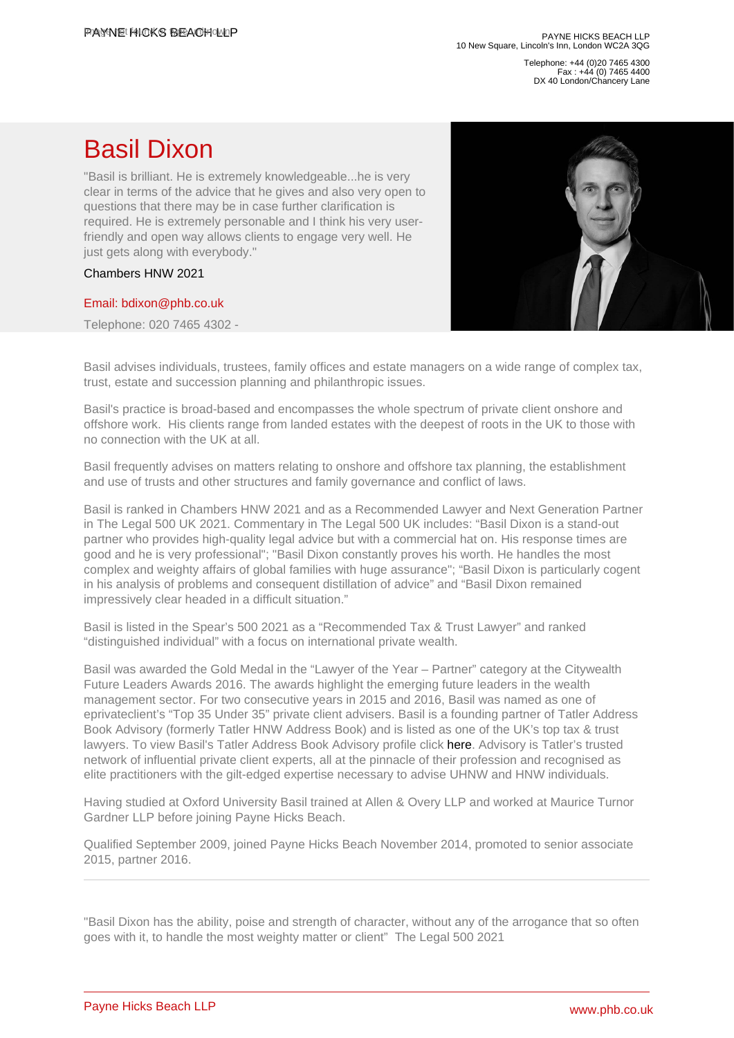Telephone: +44 (0)20 7465 4300 Fax : +44 (0) 7465 4400 DX 40 London/Chancery Lane

## Basil Dixon

"Basil is brilliant. He is extremely knowledgeable...he is very clear in terms of the advice that he gives and also very open to questions that there may be in case further clarification is required. He is extremely personable and I think his very userfriendly and open way allows clients to engage very well. He just gets along with everybody."

## Chambers HNW 2021

## [Email: bdixon@phb.co.uk](�� m a i l t o : b d i x o n @ p h b . c o . u k)

Telephone: 020 7465 4302 -

Basil advises individuals, trustees, family offices and estate managers on a wide range of complex tax, trust, estate and succession planning and philanthropic issues.

Basil's practice is broad-based and encompasses the whole spectrum of private client onshore and offshore work. His clients range from landed estates with the deepest of roots in the UK to those with no connection with the UK at all.

Basil frequently advises on matters relating to onshore and offshore tax planning, the establishment and use of trusts and other structures and family governance and conflict of laws.

Basil is ranked in Chambers HNW 2021 and as a Recommended Lawyer and Next Generation Partner in The Legal 500 UK 2021. Commentary in The Legal 500 UK includes: "Basil Dixon is a stand-out partner who provides high-quality legal advice but with a commercial hat on. His response times are good and he is very professional"; "Basil Dixon constantly proves his worth. He handles the most complex and weighty affairs of global families with huge assurance"; "Basil Dixon is particularly cogent in his analysis of problems and consequent distillation of advice" and "Basil Dixon remained impressively clear headed in a difficult situation."

Basil is listed in the Spear's 500 2021 as a "Recommended Tax & Trust Lawyer" and ranked "distinguished individual" with a focus on international private wealth.

Basil was awarded the Gold Medal in the "Lawyer of the Year – Partner" category at the Citywealth Future Leaders Awards 2016. The awards highlight the emerging future leaders in the wealth management sector. For two consecutive years in 2015 and 2016, Basil was named as one of eprivateclient's "Top 35 Under 35" private client advisers. Basil is a founding partner of Tatler Address Book Advisory (formerly Tatler HNW Address Book) and is listed as one of the UK's top tax & trust lawyers. To view Basil's Tatler Address Book Advisory profile click [here.](�� h t t p s : / / a d d r e s s b o o k . t a t l e r . c o m / l o n d o n / h i g h - n e t - w o r t h / b a s i l - d i x o n) Advisory is Tatler's trusted network of influential private client experts, all at the pinnacle of their profession and recognised as elite practitioners with the gilt-edged expertise necessary to advise UHNW and HNW individuals.

Having studied at Oxford University Basil trained at Allen & Overy LLP and worked at Maurice Turnor Gardner LLP before joining Payne Hicks Beach.

Qualified September 2009, joined Payne Hicks Beach November 2014, promoted to senior associate 2015, partner 2016.

"Basil Dixon has the ability, poise and strength of character, without any of the arrogance that so often goes with it, to handle the most weighty matter or client" The Legal 500 2021